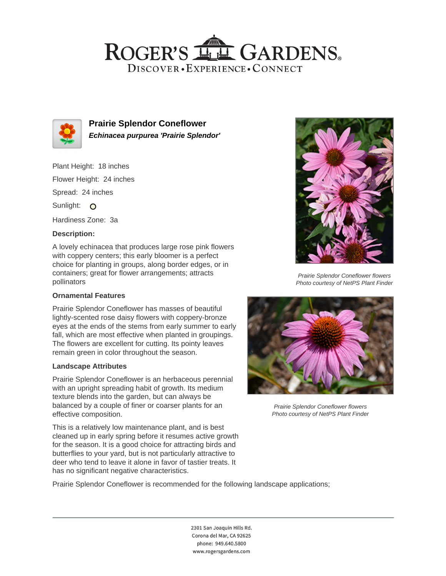## ROGER'S LL GARDENS. DISCOVER · EXPERIENCE · CONNECT



**Prairie Splendor Coneflower Echinacea purpurea 'Prairie Splendor'**

Plant Height: 18 inches Flower Height: 24 inches Spread: 24 inches Sunlight: O

Hardiness Zone: 3a

## **Description:**

A lovely echinacea that produces large rose pink flowers with coppery centers; this early bloomer is a perfect choice for planting in groups, along border edges, or in containers; great for flower arrangements; attracts pollinators

## **Ornamental Features**

Prairie Splendor Coneflower has masses of beautiful lightly-scented rose daisy flowers with coppery-bronze eyes at the ends of the stems from early summer to early fall, which are most effective when planted in groupings. The flowers are excellent for cutting. Its pointy leaves remain green in color throughout the season.

#### **Landscape Attributes**

Prairie Splendor Coneflower is an herbaceous perennial with an upright spreading habit of growth. Its medium texture blends into the garden, but can always be balanced by a couple of finer or coarser plants for an effective composition.

This is a relatively low maintenance plant, and is best cleaned up in early spring before it resumes active growth for the season. It is a good choice for attracting birds and butterflies to your yard, but is not particularly attractive to deer who tend to leave it alone in favor of tastier treats. It has no significant negative characteristics.



2301 San Joaquin Hills Rd. Corona del Mar, CA 92625 phone: 949.640.5800 www.rogersgardens.com



Prairie Splendor Coneflower flowers Photo courtesy of NetPS Plant Finder



Prairie Splendor Coneflower flowers Photo courtesy of NetPS Plant Finder